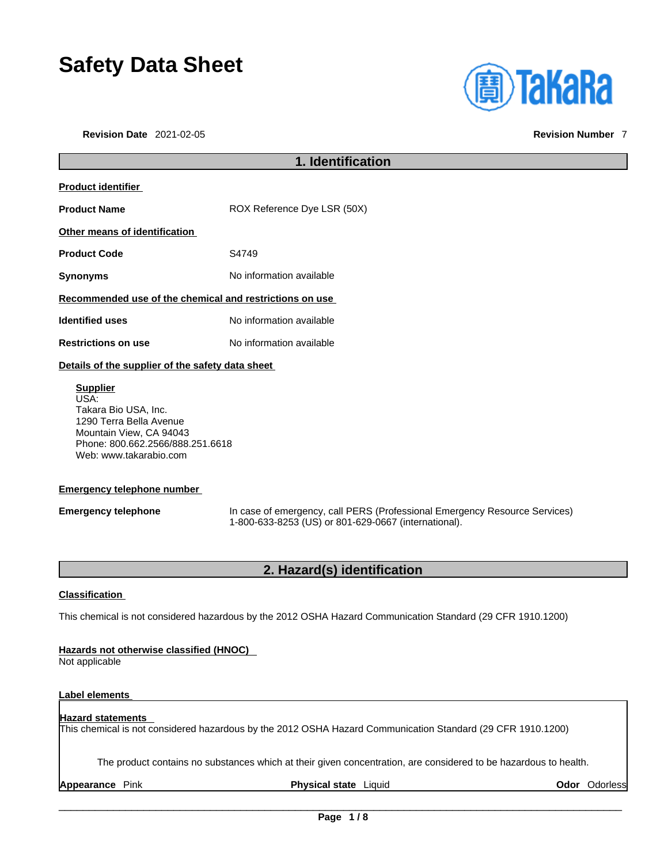# **Safety Data Sheet**

**Revision Date** 2021-02-05 **Revision Number** 7



## **1. Identification Product identifier Product Name** ROX Reference Dye LSR (50X) **Other means of identification Product Code 54749 Synonyms** No information available **Recommended use of the chemical and restrictions on use Identified uses** No information available **Restrictions on use** No information available **Details of the supplier of the safety data sheet Supplier** USA: Takara Bio USA, Inc. 1290 Terra Bella Avenue Mountain View, CA 94043 Phone: 800.662.2566/888.251.6618 Web: www.takarabio.com

#### **Emergency telephone number**

**Emergency telephone** In case of emergency, call PERS (Professional Emergency Resource Services) 1-800-633-8253 (US) or 801-629-0667 (international).

### **2. Hazard(s) identification**

#### **Classification**

This chemical is not considered hazardous by the 2012 OSHA Hazard Communication Standard (29 CFR 1910.1200)

#### **Hazards not otherwise classified (HNOC)**

Not applicable

#### **Label elements**

#### **Hazard statements**

This chemical is not considered hazardous by the 2012 OSHA Hazard Communication Standard (29 CFR 1910.1200)

The product contains no substances which at their given concentration, are considered to be hazardous to health.

**Appearance** Pink **Physical state** Liquid **Odor** Odorless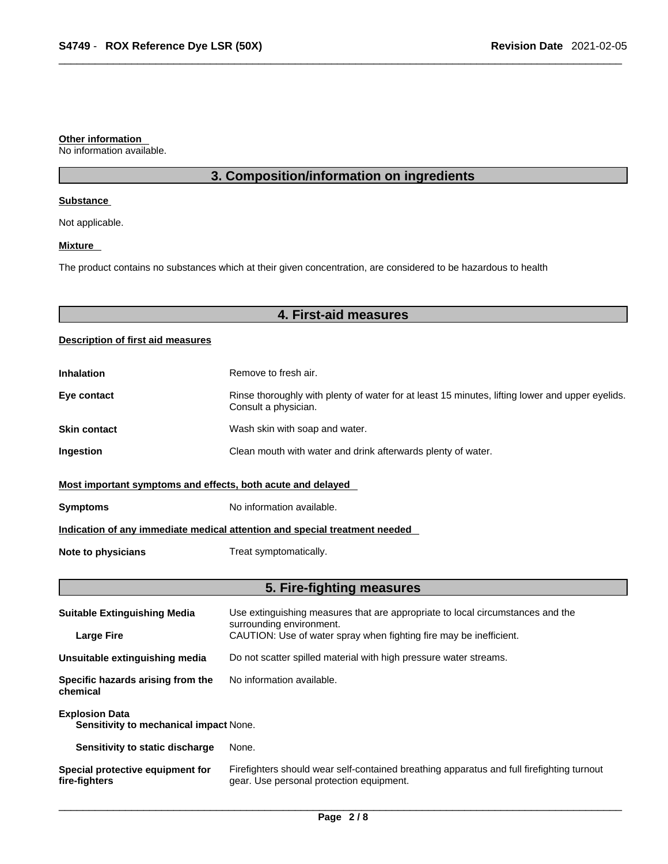#### **Other information**

No information available.

### **3. Composition/information on ingredients**

#### **Substance**

Not applicable.

#### **Mixture**

The product contains no substances which at their given concentration, are considered to be hazardous to health

### **4. First-aid measures**

#### **Description of first aid measures**

| <b>Inhalation</b>                                                          | Remove to fresh air.                                                                                                    |  |
|----------------------------------------------------------------------------|-------------------------------------------------------------------------------------------------------------------------|--|
| Eye contact                                                                | Rinse thoroughly with plenty of water for at least 15 minutes, lifting lower and upper eyelids.<br>Consult a physician. |  |
| <b>Skin contact</b>                                                        | Wash skin with soap and water.                                                                                          |  |
| Ingestion                                                                  | Clean mouth with water and drink afterwards plenty of water.                                                            |  |
| Most important symptoms and effects, both acute and delayed                |                                                                                                                         |  |
| <b>Symptoms</b>                                                            | No information available.                                                                                               |  |
| Indication of any immediate medical attention and special treatment needed |                                                                                                                         |  |
| Note to physicians                                                         | Treat symptomatically.                                                                                                  |  |

### **5. Fire-fighting measures**

| <b>Suitable Extinguishing Media</b>                             | Use extinguishing measures that are appropriate to local circumstances and the<br>surrounding environment.                            |  |
|-----------------------------------------------------------------|---------------------------------------------------------------------------------------------------------------------------------------|--|
| <b>Large Fire</b>                                               | CAUTION: Use of water spray when fighting fire may be inefficient.                                                                    |  |
| Unsuitable extinguishing media                                  | Do not scatter spilled material with high pressure water streams.                                                                     |  |
| Specific hazards arising from the<br>chemical                   | No information available.                                                                                                             |  |
| <b>Explosion Data</b><br>Sensitivity to mechanical impact None. |                                                                                                                                       |  |
| Sensitivity to static discharge                                 | None.                                                                                                                                 |  |
| Special protective equipment for<br>fire-fighters               | Firefighters should wear self-contained breathing apparatus and full firefighting turnout<br>gear. Use personal protection equipment. |  |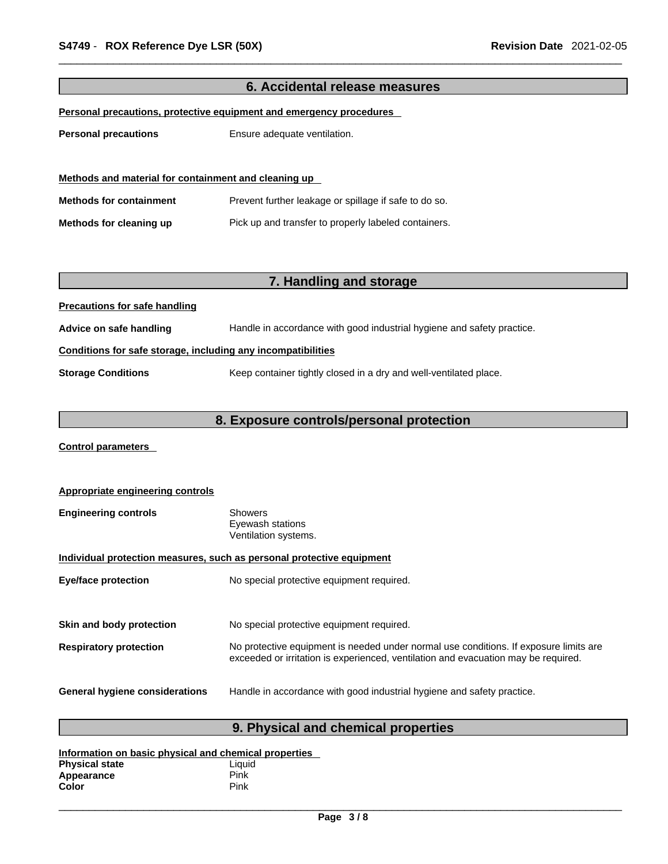| 6. Accidental release measures                                             |                                                                        |  |
|----------------------------------------------------------------------------|------------------------------------------------------------------------|--|
| <u>Personal precautions, protective equipment and emergency procedures</u> |                                                                        |  |
| <b>Personal precautions</b>                                                | Ensure adequate ventilation.                                           |  |
|                                                                            |                                                                        |  |
|                                                                            |                                                                        |  |
| Methods and material for containment and cleaning up                       |                                                                        |  |
| <b>Methods for containment</b>                                             | Prevent further leakage or spillage if safe to do so.                  |  |
| Methods for cleaning up                                                    | Pick up and transfer to properly labeled containers.                   |  |
|                                                                            |                                                                        |  |
|                                                                            |                                                                        |  |
|                                                                            | 7. Handling and storage                                                |  |
| <b>Precautions for safe handling</b>                                       |                                                                        |  |
|                                                                            |                                                                        |  |
| Advice on safe handling                                                    | Handle in accordance with good industrial hygiene and safety practice. |  |
| Conditions for safe storage, including any incompatibilities               |                                                                        |  |
| <b>Storage Conditions</b>                                                  | Keep container tightly closed in a dry and well-ventilated place.      |  |
|                                                                            |                                                                        |  |
|                                                                            |                                                                        |  |

### **8. Exposure controls/personal protection**

**Control parameters** 

| <b>Appropriate engineering controls</b>                               |                                                                                                                                                                             |  |
|-----------------------------------------------------------------------|-----------------------------------------------------------------------------------------------------------------------------------------------------------------------------|--|
| <b>Engineering controls</b>                                           | <b>Showers</b><br>Eyewash stations<br>Ventilation systems.                                                                                                                  |  |
| Individual protection measures, such as personal protective equipment |                                                                                                                                                                             |  |
| <b>Eye/face protection</b>                                            | No special protective equipment required.                                                                                                                                   |  |
|                                                                       |                                                                                                                                                                             |  |
| Skin and body protection                                              | No special protective equipment required.                                                                                                                                   |  |
| <b>Respiratory protection</b>                                         | No protective equipment is needed under normal use conditions. If exposure limits are<br>exceeded or irritation is experienced, ventilation and evacuation may be required. |  |
| <b>General hygiene considerations</b>                                 | Handle in accordance with good industrial hygiene and safety practice.                                                                                                      |  |

### **9. Physical and chemical properties**

| Information on basic physical and chemical properties |        |  |
|-------------------------------------------------------|--------|--|
| <b>Physical state</b>                                 | Liauid |  |
| Appearance                                            | Pink   |  |
| Color                                                 | Pink   |  |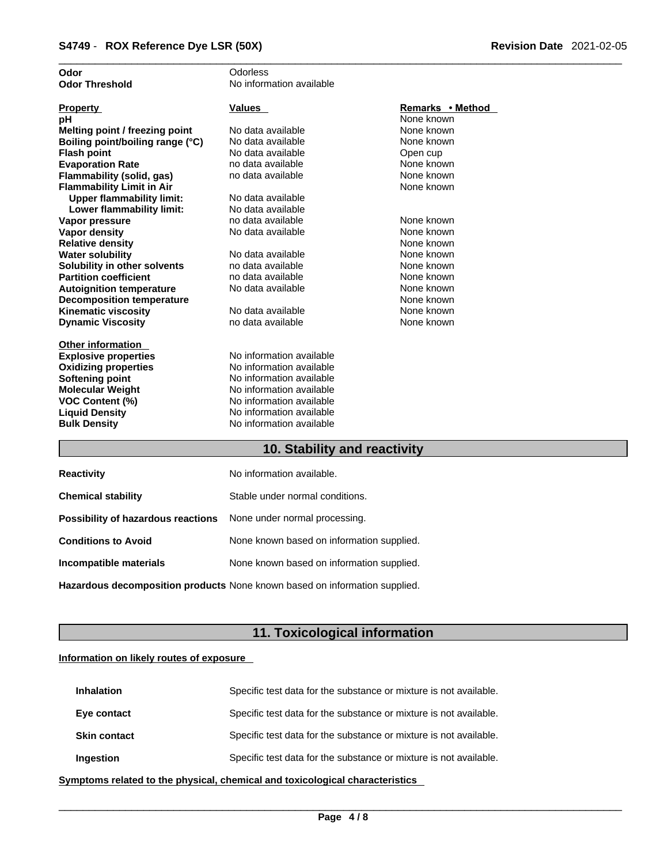| Odor                             | Odorless                 |                  |
|----------------------------------|--------------------------|------------------|
| <b>Odor Threshold</b>            | No information available |                  |
|                                  |                          |                  |
| <b>Property</b>                  | Values                   | Remarks • Method |
| рH                               |                          | None known       |
| Melting point / freezing point   | No data available        | None known       |
| Boiling point/boiling range (°C) | No data available        | None known       |
| <b>Flash point</b>               | No data available        | Open cup         |
| <b>Evaporation Rate</b>          | no data available        | None known       |
| Flammability (solid, gas)        | no data available        | None known       |
| <b>Flammability Limit in Air</b> |                          | None known       |
| <b>Upper flammability limit:</b> | No data available        |                  |
| Lower flammability limit:        | No data available        |                  |
| Vapor pressure                   | no data available        | None known       |
| <b>Vapor density</b>             | No data available        | None known       |
| <b>Relative density</b>          |                          | None known       |
| <b>Water solubility</b>          | No data available        | None known       |
| Solubility in other solvents     | no data available        | None known       |
| <b>Partition coefficient</b>     | no data available        | None known       |
| <b>Autoignition temperature</b>  | No data available        | None known       |
| <b>Decomposition temperature</b> |                          | None known       |
| <b>Kinematic viscosity</b>       | No data available        | None known       |
| <b>Dynamic Viscosity</b>         | no data available        | None known       |
|                                  |                          |                  |
| <b>Other information</b>         |                          |                  |
| <b>Explosive properties</b>      | No information available |                  |
| <b>Oxidizing properties</b>      | No information available |                  |
| Softening point                  | No information available |                  |
| <b>Molecular Weight</b>          | No information available |                  |
| <b>VOC Content (%)</b>           | No information available |                  |
| <b>Liquid Density</b>            | No information available |                  |
| <b>Bulk Density</b>              | No information available |                  |
|                                  |                          |                  |

#### **10. Stability and reactivity**

| <b>Reactivity</b>                                                       | No information available.                 |
|-------------------------------------------------------------------------|-------------------------------------------|
| <b>Chemical stability</b>                                               | Stable under normal conditions.           |
| <b>Possibility of hazardous reactions</b> None under normal processing. |                                           |
| <b>Conditions to Avoid</b>                                              | None known based on information supplied. |
| Incompatible materials                                                  | None known based on information supplied. |
|                                                                         |                                           |

**Hazardous decomposition products** None known based on information supplied.

### **11. Toxicological information**

#### **Information on likely routes of exposure**

| <b>Inhalation</b>   | Specific test data for the substance or mixture is not available. |
|---------------------|-------------------------------------------------------------------|
| Eye contact         | Specific test data for the substance or mixture is not available. |
| <b>Skin contact</b> | Specific test data for the substance or mixture is not available. |
| Ingestion           | Specific test data for the substance or mixture is not available. |

**<u>Symptoms related to the physical, chemical and toxicological characteristics</u>**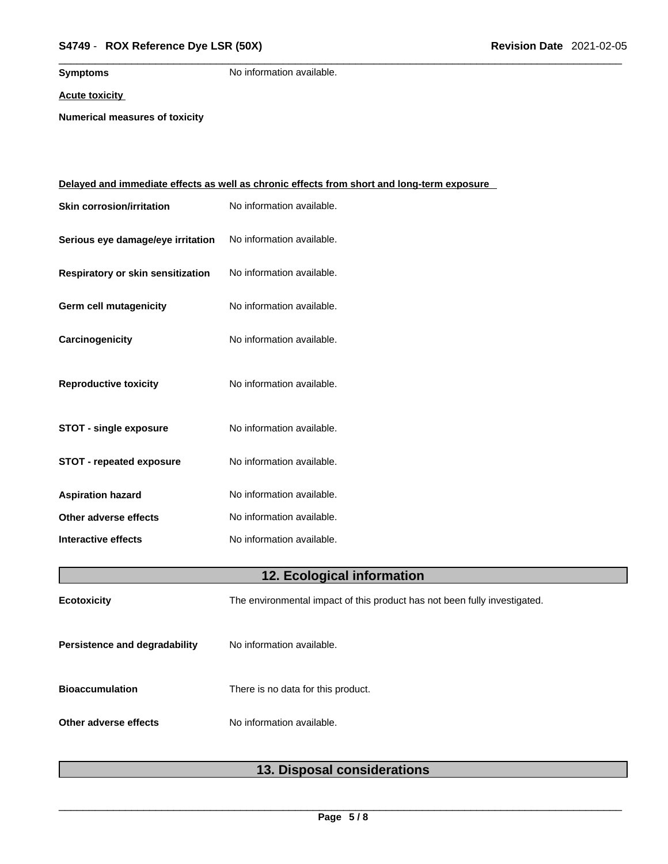**Symptoms** No information available.

#### **Acute toxicity**

**Numerical measures of toxicity**

|                                   | <u>Delayed and immediate effects as well as chronic effects from short and long-term exposure</u> |
|-----------------------------------|---------------------------------------------------------------------------------------------------|
| <b>Skin corrosion/irritation</b>  | No information available.                                                                         |
| Serious eye damage/eye irritation | No information available.                                                                         |
| Respiratory or skin sensitization | No information available.                                                                         |
| Germ cell mutagenicity            | No information available.                                                                         |
| Carcinogenicity                   | No information available.                                                                         |
| <b>Reproductive toxicity</b>      | No information available.                                                                         |
| <b>STOT - single exposure</b>     | No information available.                                                                         |
| <b>STOT - repeated exposure</b>   | No information available.                                                                         |
| <b>Aspiration hazard</b>          | No information available.                                                                         |
| Other adverse effects             | No information available.                                                                         |
| Interactive effects               | No information available.                                                                         |
|                                   | 12. Ecological information                                                                        |
| <b>Ecotoxicity</b>                | The environmental impact of this product has not been fully investigated.                         |
| Persistence and degradability     | No information available.                                                                         |
| <b>Bioaccumulation</b>            | There is no data for this product.                                                                |
| Other adverse effects             | No information available.                                                                         |
|                                   |                                                                                                   |

### **13. Disposal considerations**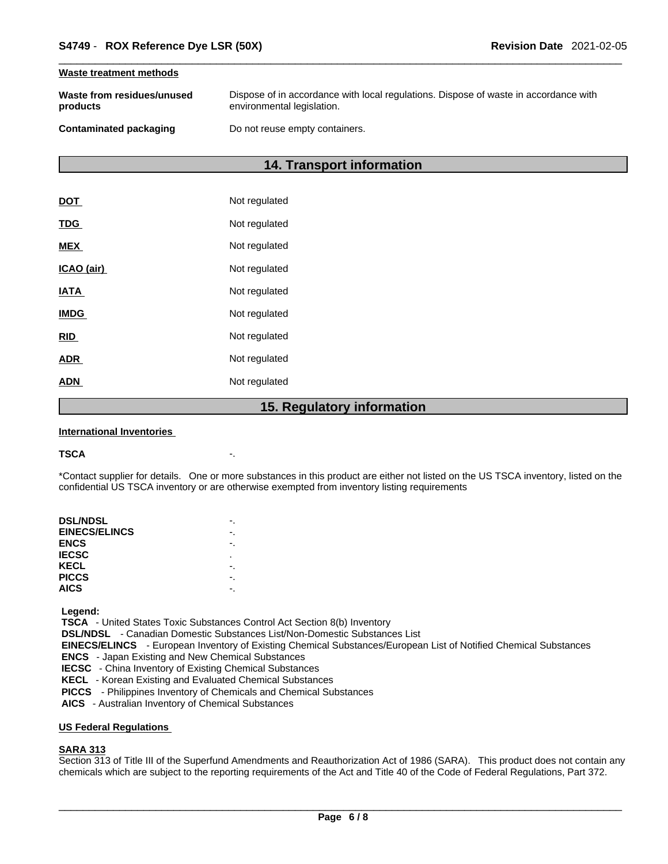#### **Waste treatment methods**

| Waste from residues/unused | Dispose of in accordance with local regulations. Dispose of waste in accordance with |
|----------------------------|--------------------------------------------------------------------------------------|
| products                   | environmental legislation.                                                           |
| Contaminated packaging     | Do not reuse empty containers.                                                       |

#### **14. Transport information**

|             | 15. Regulatory information |
|-------------|----------------------------|
| <b>ADN</b>  | Not regulated              |
| <b>ADR</b>  | Not regulated              |
| <b>RID</b>  | Not regulated              |
| <b>IMDG</b> | Not regulated              |
| <b>IATA</b> | Not regulated              |
| ICAO (air)  | Not regulated              |
| <b>MEX</b>  | Not regulated              |
| <b>TDG</b>  | Not regulated              |
| <b>DOT</b>  | Not regulated              |

#### **International Inventories**

#### **TSCA** -.

\*Contact supplier for details. One or more substances in this product are either not listed on the US TSCA inventory, listed on the confidential US TSCA inventory or are otherwise exempted from inventory listing requirements

| <b>DSL/NDSL</b>      |   |
|----------------------|---|
| <b>EINECS/ELINCS</b> |   |
| <b>ENCS</b>          |   |
| <b>IECSC</b>         | ٠ |
| KECL                 |   |
| <b>PICCS</b>         |   |
| <b>AICS</b>          |   |
|                      |   |

 **Legend:** 

 **TSCA** - United States Toxic Substances Control Act Section 8(b) Inventory

 **DSL/NDSL** - Canadian Domestic Substances List/Non-Domestic Substances List

 **EINECS/ELINCS** - European Inventory of Existing Chemical Substances/European List of Notified Chemical Substances

 **ENCS** - Japan Existing and New Chemical Substances

 **IECSC** - China Inventory of Existing Chemical Substances

 **KECL** - Korean Existing and Evaluated Chemical Substances

 **PICCS** - Philippines Inventory of Chemicals and Chemical Substances

 **AICS** - Australian Inventory of Chemical Substances

#### **US Federal Regulations**

#### **SARA 313**

Section 313 of Title III of the Superfund Amendments and Reauthorization Act of 1986 (SARA). This product does not contain any chemicals which are subject to the reporting requirements of the Act and Title 40 of the Code of Federal Regulations, Part 372.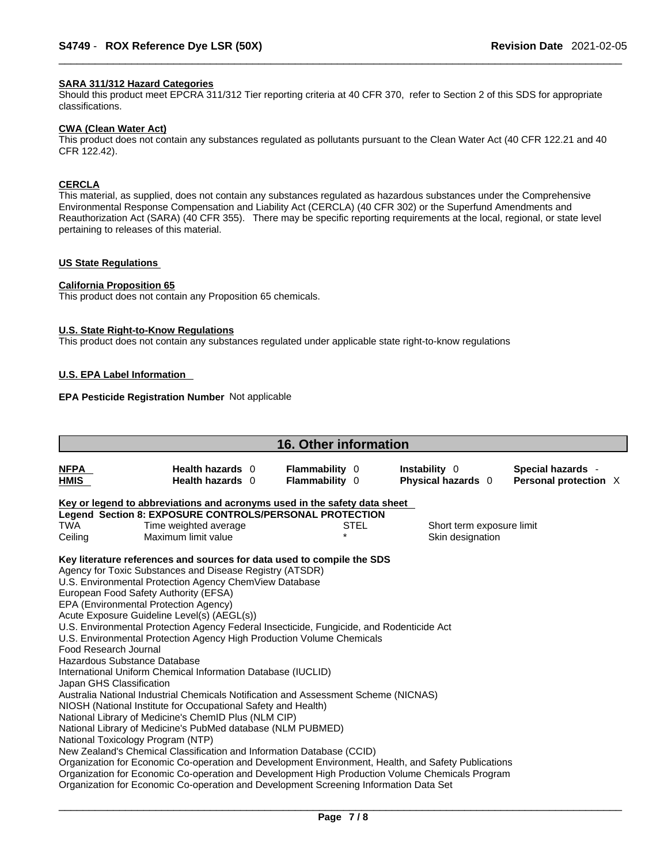#### **SARA 311/312 Hazard Categories**

Should this product meet EPCRA 311/312 Tier reporting criteria at 40 CFR 370, refer to Section 2 of this SDS for appropriate classifications.

#### **CWA (Clean WaterAct)**

This product does not contain any substances regulated as pollutants pursuant to the Clean Water Act (40 CFR 122.21 and 40 CFR 122.42).

#### **CERCLA**

This material, as supplied, does not contain any substances regulated as hazardous substances under the Comprehensive Environmental Response Compensation and Liability Act (CERCLA) (40 CFR 302) or the Superfund Amendments and Reauthorization Act (SARA) (40 CFR 355). There may be specific reporting requirements at the local, regional, or state level pertaining to releases of this material.

#### **US State Regulations**

#### **California Proposition 65**

This product does not contain any Proposition 65 chemicals.

#### **U.S. State Right-to-Know Regulations**

This product does not contain any substances regulated under applicable state right-to-know regulations

#### **U.S. EPA Label Information**

#### **EPA Pesticide Registration Number** Not applicable

| <b>16. Other information</b>                      |                                                                                                                                                                                                                                                                                                                                                                                                                                                                                                                                                                                                                                                                                                                                                                                                                                                                                   |  |                                         |             |                                     |  |                                            |  |
|---------------------------------------------------|-----------------------------------------------------------------------------------------------------------------------------------------------------------------------------------------------------------------------------------------------------------------------------------------------------------------------------------------------------------------------------------------------------------------------------------------------------------------------------------------------------------------------------------------------------------------------------------------------------------------------------------------------------------------------------------------------------------------------------------------------------------------------------------------------------------------------------------------------------------------------------------|--|-----------------------------------------|-------------|-------------------------------------|--|--------------------------------------------|--|
| <b>NFPA</b><br>HMIS                               | Health hazards 0<br>Health hazards 0                                                                                                                                                                                                                                                                                                                                                                                                                                                                                                                                                                                                                                                                                                                                                                                                                                              |  | <b>Flammability 0</b><br>Flammability 0 |             | Instability 0<br>Physical hazards 0 |  | Special hazards -<br>Personal protection X |  |
|                                                   | Key or legend to abbreviations and acronyms used in the safety data sheet                                                                                                                                                                                                                                                                                                                                                                                                                                                                                                                                                                                                                                                                                                                                                                                                         |  |                                         |             |                                     |  |                                            |  |
|                                                   | Legend Section 8: EXPOSURE CONTROLS/PERSONAL PROTECTION                                                                                                                                                                                                                                                                                                                                                                                                                                                                                                                                                                                                                                                                                                                                                                                                                           |  |                                         |             |                                     |  |                                            |  |
| <b>TWA</b>                                        | Time weighted average                                                                                                                                                                                                                                                                                                                                                                                                                                                                                                                                                                                                                                                                                                                                                                                                                                                             |  |                                         | <b>STEL</b> | Short term exposure limit           |  |                                            |  |
| Ceiling                                           | Maximum limit value                                                                                                                                                                                                                                                                                                                                                                                                                                                                                                                                                                                                                                                                                                                                                                                                                                                               |  |                                         |             | Skin designation                    |  |                                            |  |
| Food Research Journal<br>Japan GHS Classification | Key literature references and sources for data used to compile the SDS<br>Agency for Toxic Substances and Disease Registry (ATSDR)<br>U.S. Environmental Protection Agency ChemView Database<br>European Food Safety Authority (EFSA)<br>EPA (Environmental Protection Agency)<br>Acute Exposure Guideline Level(s) (AEGL(s))<br>U.S. Environmental Protection Agency Federal Insecticide, Fungicide, and Rodenticide Act<br>U.S. Environmental Protection Agency High Production Volume Chemicals<br>Hazardous Substance Database<br>International Uniform Chemical Information Database (IUCLID)<br>Australia National Industrial Chemicals Notification and Assessment Scheme (NICNAS)<br>NIOSH (National Institute for Occupational Safety and Health)<br>National Library of Medicine's ChemID Plus (NLM CIP)<br>National Library of Medicine's PubMed database (NLM PUBMED) |  |                                         |             |                                     |  |                                            |  |
|                                                   | National Toxicology Program (NTP)<br>New Zealand's Chemical Classification and Information Database (CCID)<br>Organization for Economic Co-operation and Development Environment, Health, and Safety Publications<br>Organization for Economic Co-operation and Development High Production Volume Chemicals Program<br>Organization for Economic Co-operation and Development Screening Information Data Set                                                                                                                                                                                                                                                                                                                                                                                                                                                                     |  |                                         |             |                                     |  |                                            |  |